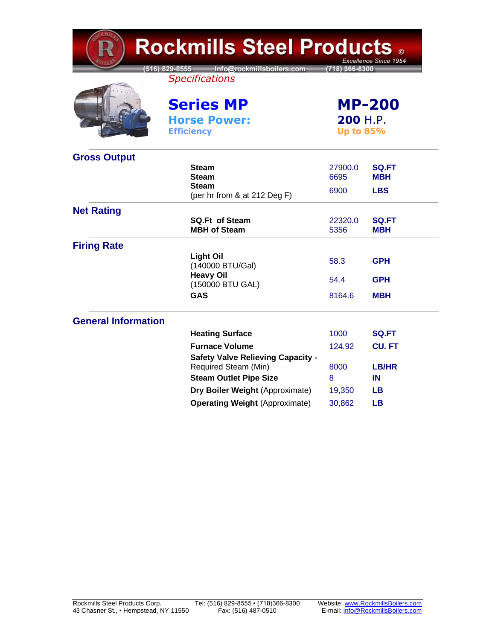| Rockmills Steel Products <sub>◎</sub><br>Excellence Since 1954 |                                                                   |                                                      |                            |  |
|----------------------------------------------------------------|-------------------------------------------------------------------|------------------------------------------------------|----------------------------|--|
|                                                                | [516] 829-8555 Info@rockmillsboilers.com<br><b>Specifications</b> | (718) 366-8300                                       |                            |  |
|                                                                | <b>Series MP</b><br><b>Horse Power:</b><br><b>Efficiency</b>      | <b>MP-200</b><br><b>200 H.P.</b><br><b>Up to 85%</b> |                            |  |
| <b>Gross Output</b>                                            |                                                                   |                                                      |                            |  |
|                                                                | <b>Steam</b><br><b>Steam</b>                                      | 27900.0<br>6695                                      | <b>SQ.FT</b><br><b>MBH</b> |  |
|                                                                | Steam<br>(per hr from & at 212 Deg F)                             | 6900                                                 | <b>LBS</b>                 |  |
| <b>Net Rating</b>                                              |                                                                   |                                                      |                            |  |
|                                                                | <b>SQ.Ft of Steam</b><br><b>MBH of Steam</b>                      | 22320.0<br>5356                                      | <b>SQ.FT</b><br><b>MBH</b> |  |
| <b>Firing Rate</b>                                             |                                                                   |                                                      |                            |  |
|                                                                | <b>Light Oil</b><br>(140000 BTU/Gal)                              | 58.3                                                 | <b>GPH</b>                 |  |
|                                                                | <b>Heavy Oil</b><br>(150000 BTU GAL)                              | 54.4                                                 | <b>GPH</b>                 |  |
|                                                                | <b>GAS</b>                                                        | 8164.6                                               | <b>MBH</b>                 |  |
| <b>General Information</b>                                     |                                                                   |                                                      |                            |  |
|                                                                | <b>Heating Surface</b>                                            | 1000                                                 | <b>SQ.FT</b>               |  |
|                                                                | <b>Furnace Volume</b>                                             | 124.92                                               | <b>CU. FT</b>              |  |
|                                                                | <b>Safety Valve Relieving Capacity -</b><br>Required Steam (Min)  | 8000                                                 | <b>LB/HR</b>               |  |
|                                                                | <b>Steam Outlet Pipe Size</b>                                     | 8                                                    | IN                         |  |
|                                                                | Dry Boiler Weight (Approximate)                                   | 19,350                                               | <b>LB</b>                  |  |
|                                                                | <b>Operating Weight (Approximate)</b>                             | 30,862                                               | <b>LB</b>                  |  |

KMT.